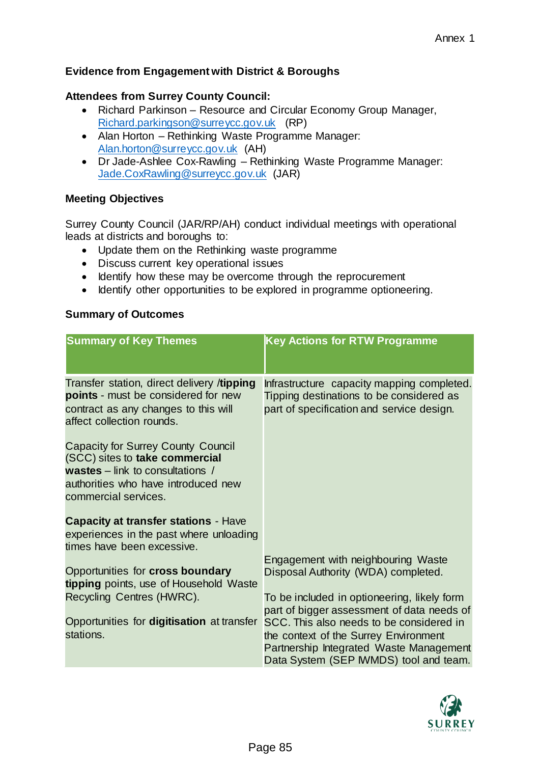## **Evidence from Engagement with District & Boroughs**

## **Attendees from Surrey County Council:**

- Richard Parkinson Resource and Circular Economy Group Manager, [Richard.parkingson@surreycc.gov.uk](mailto:Richard.parkingson@surreycc.gov.uk) (RP)
- Alan Horton Rethinking Waste Programme Manager: [Alan.horton@surreycc.gov.uk](mailto:Alan.horton@surreycc.gov.uk) (AH)
- Dr Jade-Ashlee Cox-Rawling Rethinking Waste Programme Manager: [Jade.CoxRawling@surreycc.gov.uk](mailto:Jade.CoxRawling@surreycc.gov.uk) (JAR)

## **Meeting Objectives**

Surrey County Council (JAR/RP/AH) conduct individual meetings with operational leads at districts and boroughs to:

- Update them on the Rethinking waste programme
- Discuss current key operational issues
- Identify how these may be overcome through the reprocurement
- Identify other opportunities to be explored in programme optioneering.

## **Summary of Outcomes**

| <b>Summary of Key Themes</b>                                                                                                                                                          | <b>Key Actions for RTW Programme</b>                                                                                                                                   |
|---------------------------------------------------------------------------------------------------------------------------------------------------------------------------------------|------------------------------------------------------------------------------------------------------------------------------------------------------------------------|
| Transfer station, direct delivery /tipping<br>points - must be considered for new<br>contract as any changes to this will<br>affect collection rounds.                                | Infrastructure capacity mapping completed.<br>Tipping destinations to be considered as<br>part of specification and service design.                                    |
| <b>Capacity for Surrey County Council</b><br>(SCC) sites to take commercial<br><b>wastes</b> – link to consultations /<br>authorities who have introduced new<br>commercial services. |                                                                                                                                                                        |
| <b>Capacity at transfer stations - Have</b><br>experiences in the past where unloading<br>times have been excessive.                                                                  |                                                                                                                                                                        |
| Opportunities for <b>cross boundary</b><br>tipping points, use of Household Waste<br>Recycling Centres (HWRC).                                                                        | Engagement with neighbouring Waste<br>Disposal Authority (WDA) completed.<br>To be included in optioneering, likely form<br>part of bigger assessment of data needs of |
| Opportunities for digitisation at transfer<br>stations.                                                                                                                               | SCC. This also needs to be considered in<br>the context of the Surrey Environment<br>Partnership Integrated Waste Management<br>Data System (SEP IWMDS) tool and team. |